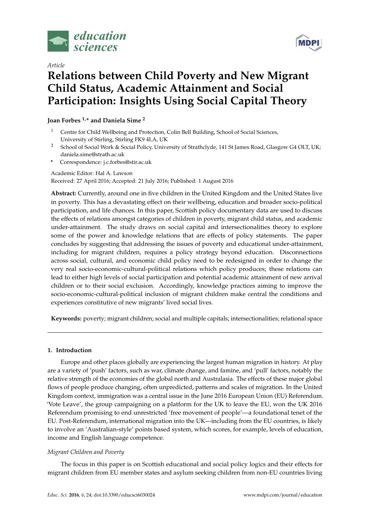

*Article*



# **Relations between Child Poverty and New Migrant Child Status, Academic Attainment and Social Participation: Insights Using Social Capital Theory**

**Joan Forbes 1,\* and Daniela Sime <sup>2</sup>**

- <sup>1</sup> Centre for Child Wellbeing and Protection, Colin Bell Building, School of Social Sciences, University of Stirling, Stirling FK9 4LA, UK
- <sup>2</sup> School of Social Work & Social Policy, University of Strathclyde, 141 St James Road, Glasgow G4 OLT, UK; daniela.sime@strath.ac.uk
- **\*** Correspondence: j.c.forbes@stir.ac.uk

## Academic Editor: Hal A. Lawson Received: 27 April 2016; Accepted: 21 July 2016; Published: 1 August 2016

**Abstract:** Currently, around one in five children in the United Kingdom and the United States live in poverty. This has a devastating effect on their wellbeing, education and broader socio-political participation, and life chances. In this paper, Scottish policy documentary data are used to discuss the effects of relations amongst categories of children in poverty, migrant child status, and academic under-attainment. The study draws on social capital and intersectionalities theory to explore some of the power and knowledge relations that are effects of policy statements. The paper concludes by suggesting that addressing the issues of poverty and educational under-attainment, including for migrant children, requires a policy strategy beyond education. Disconnections across social, cultural, and economic child policy need to be redesigned in order to change the very real socio-economic-cultural-political relations which policy produces; these relations can lead to either high levels of social participation and potential academic attainment of new arrival children or to their social exclusion. Accordingly, knowledge practices aiming to improve the socio-economic-cultural-political inclusion of migrant children make central the conditions and experiences constitutive of new migrants' lived social lives.

**Keywords:** poverty; migrant children; social and multiple capitals; intersectionalities; relational space

# **1. Introduction**

Europe and other places globally are experiencing the largest human migration in history. At play are a variety of 'push' factors, such as war, climate change, and famine, and 'pull' factors, notably the relative strength of the economies of the global north and Australasia. The effects of these major global flows of people produce changing, often unpredicted, patterns and scales of migration. In the United Kingdom context, immigration was a central issue in the June 2016 European Union (EU) Referendum. 'Vote Leave', the group campaigning on a platform for the UK to leave the EU, won the UK 2016 Referendum promising to end unrestricted 'free movement of people'—a foundational tenet of the EU. Post-Referendum, international migration into the UK—including from the EU countries, is likely to involve an 'Australian-style' points based system, which scores, for example, levels of education, income and English language competence.

# *Migrant Children and Poverty*

The focus in this paper is on Scottish educational and social policy logics and their effects for migrant children from EU member states and asylum seeking children from non-EU countries living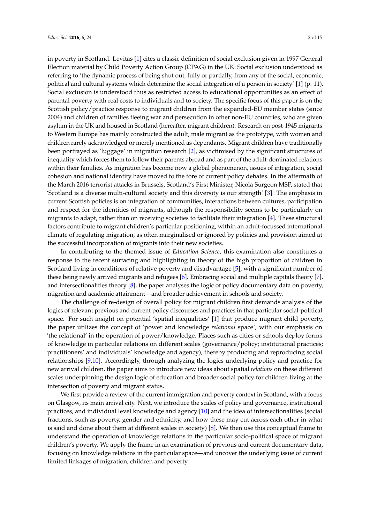in poverty in Scotland. Levitas [\[1\]](#page-11-0) cites a classic definition of social exclusion given in 1997 General Election material by Child Poverty Action Group (CPAG) in the UK: Social exclusion understood as referring to 'the dynamic process of being shut out, fully or partially, from any of the social, economic, political and cultural systems which determine the social integration of a person in society' [\[1\]](#page-11-0) (p. 11). Social exclusion is understood thus as restricted access to educational opportunities as an effect of parental poverty with real costs to individuals and to society. The specific focus of this paper is on the Scottish policy/practice response to migrant children from the expanded-EU member states (since 2004) and children of families fleeing war and persecution in other non-EU countries, who are given asylum in the UK and housed in Scotland (hereafter, migrant children). Research on post-1945 migrants to Western Europe has mainly constructed the adult, male migrant as the prototype, with women and children rarely acknowledged or merely mentioned as dependants. Migrant children have traditionally been portrayed as 'luggage' in migration research [\[2\]](#page-11-1), as victimised by the significant structures of inequality which forces them to follow their parents abroad and as part of the adult-dominated relations within their families. As migration has become now a global phenomenon, issues of integration, social cohesion and national identity have moved to the fore of current policy debates. In the aftermath of the March 2016 terrorist attacks in Brussels, Scotland's First Minister, Nicola Surgeon MSP, stated that 'Scotland is a diverse multi-cultural society and this diversity is our strength' [\[3\]](#page-11-2). The emphasis in current Scottish policies is on integration of communities, interactions between cultures, participation and respect for the identities of migrants, although the responsibility seems to be particularly on migrants to adapt, rather than on receiving societies to facilitate their integration [\[4\]](#page-11-3). These structural factors contribute to migrant children's particular positioning, within an adult-focussed international climate of regulating migration, as often marginalised or ignored by policies and provision aimed at the successful incorporation of migrants into their new societies.

In contributing to the themed issue of *Education Science*, this examination also constitutes a response to the recent surfacing and highlighting in theory of the high proportion of children in Scotland living in conditions of relative poverty and disadvantage [\[5\]](#page-11-4), with a significant number of these being newly arrived migrants and refugees [\[6\]](#page-11-5). Embracing social and multiple capitals theory [\[7\]](#page-11-6), and intersectionalities theory [\[8\]](#page-11-7), the paper analyses the logic of policy documentary data on poverty, migration and academic attainment—and broader achievement in schools and society.

The challenge of re-design of overall policy for migrant children first demands analysis of the logics of relevant previous and current policy discourses and practices in that particular social-political space. For such insight on potential 'spatial inequalities' [\[1\]](#page-11-0) that produce migrant child poverty, the paper utilizes the concept of 'power and knowledge *relational* space', with our emphasis on 'the relational' in the operation of power/knowledge. Places such as cities or schools deploy forms of knowledge in particular relations on different scales (governance/policy; institutional practices; practitioners' and individuals' knowledge and agency), thereby producing and reproducing social relationships [\[9,](#page-11-8)[10\]](#page-11-9). Accordingly, through analyzing the logics underlying policy and practice for new arrival children, the paper aims to introduce new ideas about spatial *relations* on these different scales underpinning the design logic of education and broader social policy for children living at the intersection of poverty and migrant status.

We first provide a review of the current immigration and poverty context in Scotland, with a focus on Glasgow, its main arrival city. Next, we introduce the scales of policy and governance, institutional practices, and individual level knowledge and agency [\[10\]](#page-11-9) and the idea of intersectionalities (social fractions, such as poverty, gender and ethnicity, and how these may cut across each other in what is said and done about them at different scales in society)  $[8]$ . We then use this conceptual frame to understand the operation of knowledge relations in the particular socio-political space of migrant children's poverty. We apply the frame in an examination of previous and current documentary data, focusing on knowledge relations in the particular space—and uncover the underlying issue of current limited linkages of migration, children and poverty.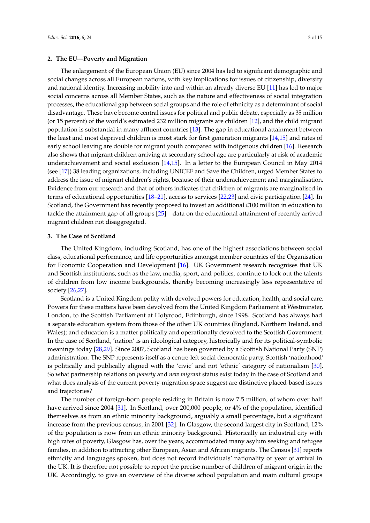**2. The EU—Poverty and Migration**

The enlargement of the European Union (EU) since 2004 has led to significant demographic and social changes across all European nations, with key implications for issues of citizenship, diversity and national identity. Increasing mobility into and within an already diverse EU [\[11\]](#page-11-10) has led to major social concerns across all Member States, such as the nature and effectiveness of social integration processes, the educational gap between social groups and the role of ethnicity as a determinant of social disadvantage. These have become central issues for political and public debate, especially as 35 million (or 15 percent) of the world's estimated 232 million migrants are children [\[12\]](#page-11-11), and the child migrant population is substantial in many affluent countries [\[13\]](#page-11-12). The gap in educational attainment between the least and most deprived children is most stark for first generation migrants [\[14,](#page-11-13)[15\]](#page-11-14) and rates of early school leaving are double for migrant youth compared with indigenous children [\[16\]](#page-12-0). Research also shows that migrant children arriving at secondary school age are particularly at risk of academic underachievement and social exclusion [\[14,](#page-11-13)[15\]](#page-11-14). In a letter to the European Council in May 2014 (see [\[17\]](#page-12-1)) 38 leading organizations, including UNICEF and Save the Children, urged Member States to address the issue of migrant children's rights, because of their underachievement and marginalisation. Evidence from our research and that of others indicates that children of migrants are marginalised in terms of educational opportunities [\[18](#page-12-2)[–21\]](#page-12-3), access to services [\[22](#page-12-4)[,23\]](#page-12-5) and civic participation [\[24\]](#page-12-6). In Scotland, the Government has recently proposed to invest an additional £100 million in education to tackle the attainment gap of all groups [\[25\]](#page-12-7)—data on the educational attainment of recently arrived migrant children not disaggregated.

#### **3. The Case of Scotland**

The United Kingdom, including Scotland, has one of the highest associations between social class, educational performance, and life opportunities amongst member countries of the Organisation for Economic Cooperation and Development [\[16\]](#page-12-0). UK Government research recognises that UK and Scottish institutions, such as the law, media, sport, and politics, continue to lock out the talents of children from low income backgrounds, thereby becoming increasingly less representative of society [\[26](#page-12-8)[,27\]](#page-12-9).

Scotland is a United Kingdom polity with devolved powers for education, health, and social care. Powers for these matters have been devolved from the United Kingdom Parliament at Westminster, London, to the Scottish Parliament at Holyrood, Edinburgh, since 1998. Scotland has always had a separate education system from those of the other UK countries (England, Northern Ireland, and Wales); and education is a matter politically and operationally devolved to the Scottish Government. In the case of Scotland, 'nation' is an ideological category, historically and for its political-symbolic meanings today [\[28](#page-12-10)[,29\]](#page-12-11). Since 2007, Scotland has been governed by a Scottish National Party (SNP) administration. The SNP represents itself as a centre-left social democratic party. Scottish 'nationhood' is politically and publically aligned with the 'civic' and not 'ethnic' category of nationalism [\[30\]](#page-12-12). So what partnership relations on *poverty* and *new migrant* status exist today in the case of Scotland and what does analysis of the current poverty-migration space suggest are distinctive placed-based issues and trajectories?

The number of foreign-born people residing in Britain is now 7.5 million, of whom over half have arrived since 2004 [\[31\]](#page-12-13). In Scotland, over 200,000 people, or 4% of the population, identified themselves as from an ethnic minority background, arguably a small percentage, but a significant increase from the previous census, in 2001 [\[32\]](#page-12-14). In Glasgow, the second largest city in Scotland, 12% of the population is now from an ethnic minority background. Historically an industrial city with high rates of poverty, Glasgow has, over the years, accommodated many asylum seeking and refugee families, in addition to attracting other European, Asian and African migrants. The Census [\[31\]](#page-12-13) reports ethnicity and languages spoken, but does not record individuals' nationality or year of arrival in the UK. It is therefore not possible to report the precise number of children of migrant origin in the UK. Accordingly, to give an overview of the diverse school population and main cultural groups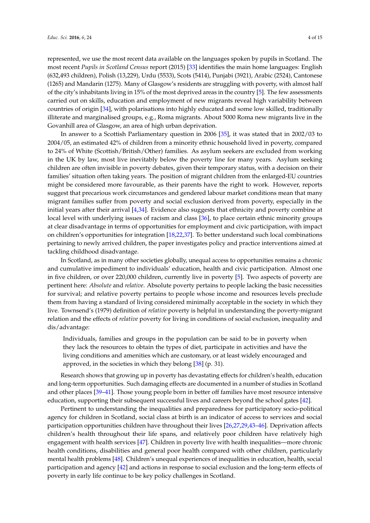represented, we use the most recent data available on the languages spoken by pupils in Scotland. The most recent *Pupils in Scotland Census* report (2015) [\[33\]](#page-12-15) identifies the main home languages: English (632,493 children), Polish (13,229), Urdu (5533), Scots (5414), Punjabi (3921), Arabic (2524), Cantonese (1265) and Mandarin (1275). Many of Glasgow's residents are struggling with poverty, with almost half of the city's inhabitants living in 15% of the most deprived areas in the country [\[5\]](#page-11-4). The few assessments carried out on skills, education and employment of new migrants reveal high variability between countries of origin [\[34\]](#page-12-16), with polarisations into highly educated and some low skilled, traditionally illiterate and marginalised groups, e.g., Roma migrants. About 5000 Roma new migrants live in the Govanhill area of Glasgow, an area of high urban deprivation.

In answer to a Scottish Parliamentary question in 2006 [\[35\]](#page-13-0), it was stated that in 2002/03 to 2004/05, an estimated 42% of children from a minority ethnic household lived in poverty, compared to 24% of White (Scottish/British/Other) families. As asylum seekers are excluded from working in the UK by law, most live inevitably below the poverty line for many years. Asylum seeking children are often invisible in poverty debates, given their temporary status, with a decision on their families' situation often taking years. The position of migrant children from the enlarged-EU countries might be considered more favourable, as their parents have the right to work. However, reports suggest that precarious work circumstances and gendered labour market conditions mean that many migrant families suffer from poverty and social exclusion derived from poverty, especially in the initial years after their arrival [\[4](#page-11-3)[,34\]](#page-12-16). Evidence also suggests that ethnicity and poverty combine at local level with underlying issues of racism and class [\[36\]](#page-13-1), to place certain ethnic minority groups at clear disadvantage in terms of opportunities for employment and civic participation, with impact on children's opportunities for integration [\[18](#page-12-2)[,22](#page-12-4)[,37\]](#page-13-2). To better understand such local combinations pertaining to newly arrived children, the paper investigates policy and practice interventions aimed at tackling childhood disadvantage.

In Scotland, as in many other societies globally, unequal access to opportunities remains a chronic and cumulative impediment to individuals' education, health and civic participation. Almost one in five children, or over 220,000 children, currently live in poverty [\[5\]](#page-11-4). Two aspects of poverty are pertinent here: *Absolute* and *relative*. Absolute poverty pertains to people lacking the basic necessities for survival; and relative poverty pertains to people whose income and resources levels preclude them from having a standard of living considered minimally acceptable in the society in which they live. Townsend's (1979) definition of *relative* poverty is helpful in understanding the poverty-migrant relation and the effects of *relative* poverty for living in conditions of social exclusion, inequality and dis/advantage:

Individuals, families and groups in the population can be said to be in poverty when they lack the resources to obtain the types of diet, participate in activities and have the living conditions and amenities which are customary, or at least widely encouraged and approved, in the societies in which they belong  $[38]$  (p. 31).

Research shows that growing up in poverty has devastating effects for children's health, education and long-term opportunities. Such damaging effects are documented in a number of studies in Scotland and other places [\[39](#page-13-4)[–41\]](#page-13-5). Those young people born in better off families have most resource intensive education, supporting their subsequent successful lives and careers beyond the school gates [\[42\]](#page-13-6).

Pertinent to understanding the inequalities and preparedness for participatory socio-political agency for children in Scotland, social class at birth is an indicator of access to services and social participation opportunities children have throughout their lives [\[26](#page-12-8)[,27](#page-12-9)[,29](#page-12-11)[,43–](#page-13-7)[46\]](#page-13-8). Deprivation affects children's health throughout their life spans, and relatively poor children have relatively high engagement with health services [\[47\]](#page-13-9). Children in poverty live with health inequalities—more chronic health conditions, disabilities and general poor health compared with other children, particularly mental health problems [\[48\]](#page-13-10). Children's unequal experiences of inequalities in education, health, social participation and agency [\[42\]](#page-13-6) and actions in response to social exclusion and the long-term effects of poverty in early life continue to be key policy challenges in Scotland.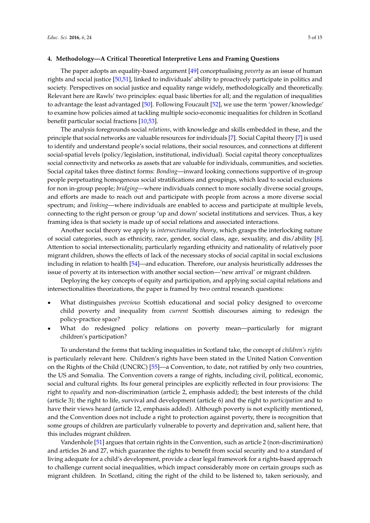The paper adopts an equality-based argument [\[49\]](#page-13-11) conceptualising *poverty* as an issue of human rights and social justice [\[50](#page-13-12)[,51\]](#page-13-13), linked to individuals' ability to proactively participate in politics and society. Perspectives on social justice and equality range widely, methodologically and theoretically. Relevant here are Rawls' two principles: equal basic liberties for all; and the regulation of inequalities to advantage the least advantaged [\[50\]](#page-13-12). Following Foucault [\[52\]](#page-13-14), we use the term 'power/knowledge' to examine how policies aimed at tackling multiple socio-economic inequalities for children in Scotland benefit particular social fractions [\[10](#page-11-9)[,53\]](#page-13-15).

The analysis foregrounds social *relations*, with knowledge and skills embedded in these, and the principle that social networks are valuable resources for individuals [\[7\]](#page-11-6). Social Capital theory [\[7\]](#page-11-6) is used to identify and understand people's social relations, their social resources, and connections at different social-spatial levels (policy/legislation, institutional, individual). Social capital theory conceptualizes social connectivity and networks as assets that are valuable for individuals, communities, and societies. Social capital takes three distinct forms: *Bonding*—inward looking connections supportive of in-group people perpetuating homogenous social stratifications and groupings, which lead to social exclusions for non in-group people; *bridging*—where individuals connect to more socially diverse social groups, and efforts are made to reach out and participate with people from across a more diverse social spectrum; and *linking*—where individuals are enabled to access and participate at multiple levels, connecting to the right person or group 'up and down' societal institutions and services. Thus, a key framing idea is that society is made up of social relations and associated interactions.

Another social theory we apply is *intersectionality theory*, which grasps the interlocking nature of social categories, such as ethnicity, race, gender, social class, age, sexuality, and dis/ability [\[8\]](#page-11-7). Attention to social intersectionality, particularly regarding ethnicity and nationality of relatively poor migrant children, shows the effects of lack of the necessary stocks of social capital in social exclusions including in relation to health [\[54\]](#page-13-16)—and education. Therefore, our analysis heuristically addresses the issue of poverty at its intersection with another social section—'new arrival' or migrant children.

Deploying the key concepts of equity and participation, and applying social capital relations and intersectionalities theorizations, the paper is framed by two central research questions:

- ' What distinguishes *previous* Scottish educational and social policy designed to overcome child poverty and inequality from *current* Scottish discourses aiming to redesign the policy-practice space?
- ' What do redesigned policy relations on poverty mean—particularly for migrant children's participation?

To understand the forms that tackling inequalities in Scotland take, the concept of *children's rights* is particularly relevant here. Children's rights have been stated in the United Nation Convention on the Rights of the Child (UNCRC) [\[55\]](#page-13-17)—a Convention, to date, not ratified by only two countries, the US and Somalia. The Convention covers a range of rights, including civil, political, economic, social and cultural rights. Its four general principles are explicitly reflected in four provisions: The right to *equality* and non-discrimination (article 2, emphasis added); the best interests of the child (article 3); the right to life, survival and development (article 6) and the right to *participation* and to have their views heard (article 12, emphasis added). Although poverty is not explicitly mentioned, and the Convention does not include a right to protection against poverty, there is recognition that some groups of children are particularly vulnerable to poverty and deprivation and, salient here, that this includes migrant children.

Vandenhole [\[51\]](#page-13-13) argues that certain rights in the Convention, such as article 2 (non-discrimination) and articles 26 and 27, which guarantee the rights to benefit from social security and to a standard of living adequate for a child's development, provide a clear legal framework for a rights-based approach to challenge current social inequalities, which impact considerably more on certain groups such as migrant children. In Scotland, citing the right of the child to be listened to, taken seriously, and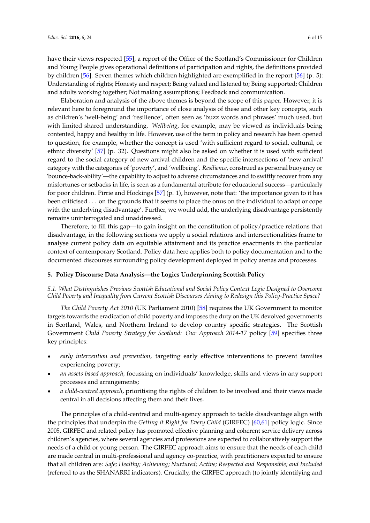have their views respected [\[55\]](#page-13-17), a report of the Office of the Scotland's Commissioner for Children and Young People gives operational definitions of participation and rights, the definitions provided by children [\[56\]](#page-13-18). Seven themes which children highlighted are exemplified in the report [\[56\]](#page-13-18) (p. 5): Understanding of rights; Honesty and respect; Being valued and listened to; Being supported; Children and adults working together; Not making assumptions; Feedback and communication.

Elaboration and analysis of the above themes is beyond the scope of this paper. However, it is relevant here to foreground the importance of close analysis of these and other key concepts, such as children's 'well-being' and 'resilience', often seen as 'buzz words and phrases' much used, but with limited shared understanding. *Wellbeing*, for example, may be viewed as individuals being contented, happy and healthy in life. However, use of the term in policy and research has been opened to question, for example, whether the concept is used 'with sufficient regard to social, cultural, or ethnic diversity' [\[57\]](#page-13-19) (p. 32). Questions might also be asked on whether it is used with sufficient regard to the social category of new arrival children and the specific intersections of 'new arrival' category with the categories of 'poverty', and 'wellbeing'. *Resilience*, construed as personal buoyancy or 'bounce-back-ability'—the capability to adjust to adverse circumstances and to swiftly recover from any misfortunes or setbacks in life, is seen as a fundamental attribute for educational success—particularly for poor children. Pirrie and Hockings [\[57\]](#page-13-19) (p. 1), however, note that: 'the importance given to it has been criticised . . . on the grounds that it seems to place the onus on the individual to adapt or cope with the underlying disadvantage'. Further, we would add, the underlying disadvantage persistently remains uninterrogated and unaddressed.

Therefore, to fill this gap—to gain insight on the constitution of policy/practice relations that disadvantage, in the following sections we apply a social relations and intersectionalities frame to analyse current policy data on equitable attainment and its practice enactments in the particular context of contemporary Scotland. Policy data here applies both to policy documentation and to the documented discourses surrounding policy development deployed in policy arenas and processes.

## **5. Policy Discourse Data Analysis—the Logics Underpinning Scottish Policy**

## *5.1. What Distinguishes Previous Scottish Educational and Social Policy Context Logic Designed to Overcome Child Poverty and Inequality from Current Scottish Discourses Aiming to Redesign this Policy-Practice Space?*

*The Child Poverty Act 2010* (UK Parliament 2010) [\[58\]](#page-13-20) requires the UK Government to monitor targets towards the eradication of child poverty and imposes the duty on the UK devolved governments in Scotland, Wales, and Northern Ireland to develop country specific strategies. The Scottish Government *Child Poverty Strategy for Scotland: Our Approach 2014-17* policy [\[59\]](#page-14-0) specifies three key principles:

- ' *early intervention and prevention,* targeting early effective interventions to prevent families experiencing poverty;
- ' *an assets based approach,* focussing on individuals' knowledge, skills and views in any support processes and arrangements;
- ' *a child-centred approach*, prioritising the rights of children to be involved and their views made central in all decisions affecting them and their lives.

The principles of a child-centred and multi-agency approach to tackle disadvantage align with the principles that underpin the *Getting it Right for Every Child* (GIRFEC) [\[60,](#page-14-1)[61\]](#page-14-2) policy logic. Since 2005, GIRFEC and related policy has promoted effective planning and coherent service delivery across children's agencies, where several agencies and professions are expected to collaboratively support the needs of a child or young person. The GIRFEC approach aims to ensure that the needs of each child are made central in multi-professional and agency co-practice, with practitioners expected to ensure that all children are: *Safe; Healthy; Achieving; Nurtured; Active; Respected and Responsible; and Included* (referred to as the SHANARRI indicators). Crucially, the GIRFEC approach (to jointly identifying and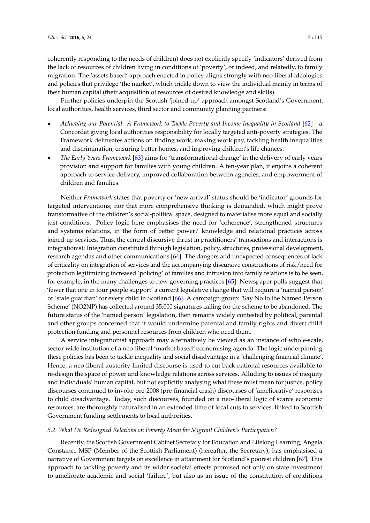coherently responding to the needs of children) does not explicitly specify 'indicators' derived from the lack of resources of children living in conditions of 'poverty', or indeed, and relatedly, to family migration. The 'assets based' approach enacted in policy aligns strongly with neo-liberal ideologies and policies that privilege 'the market', which trickle down to view the individual mainly in terms of their human capital (their acquisition of resources of desired knowledge and skills).

Further policies underpin the Scottish 'joined up' approach amongst Scotland's Government, local authorities, health services, third sector and community planning partners:

- ' *Achieving our Potential: A Framework to Tackle Poverty and Income Inequality in Scotland* [\[62\]](#page-14-3)—a Concordat giving local authorities responsibility for locally targeted anti-poverty strategies. The Framework delineates actions on finding work, making work pay, tackling health inequalities and discrimination, ensuring better homes, and improving children's life chances.
- ' *The Early Years Framework* [\[63\]](#page-14-4) aims for 'transformational change' in the delivery of early years provision and support for families with young children. A ten-year plan, it enjoins a coherent approach to service delivery, improved collaboration between agencies, and empowerment of children and families.

Neither *Framework* states that poverty or 'new arrival' status should be 'indicator' grounds for targeted interventions; nor that more comprehensive thinking is demanded, which might prove transformative of the children's social-political space, designed to materialise more equal and socially just conditions. Policy logic here emphasises the need for 'coherence', strengthened structures and systems relations, in the form of better power/ knowledge and relational practices across joined-up services. Thus, the central discursive thrust in practitioners' transactions and interactions is integrationist: Integration constituted through legislation, policy, structures, professional development, research agendas and other communications [\[64\]](#page-14-5). The dangers and unexpected consequences of lack of criticality on integration of services and the accompanying discursive constructions of risk/need for protection legitimizing increased 'policing' of families and intrusion into family relations is to be seen, for example, in the many challenges to new governing practices [\[65\]](#page-14-6). Newspaper polls suggest that 'fewer that one in four people support' a current legislative change that will require a 'named person' or 'state guardian' for every child in Scotland [\[66\]](#page-14-7). A campaign group: 'Say No to the Named Person Scheme' (NO2NP) has collected around 35,000 signatures calling for the scheme to be abandoned. The future status of the 'named person' legislation, then remains widely contested by political, parental and other groups concerned that it would undermine parental and family rights and divert child protection funding and personnel resources from children who need them.

A service integrationist approach may alternatively be viewed as an instance of whole-scale, sector wide institution of a neo-liberal 'market based' economising agenda. The logic underpinning these policies has been to tackle inequality and social disadvantage in a 'challenging financial climate'. Hence, a neo-liberal austerity-limited discourse is used to cut back national resources available to re-design the space of power and knowledge relations across services. Alluding to issues of inequity and individuals' human capital, but not explicitly analysing what these must mean for justice, policy discourses continued to invoke pre-2008 (pre-financial crash) discourses of 'ameliorative' responses to child disadvantage. Today, such discourses, founded on a neo-liberal logic of scarce economic resources, are thoroughly naturalised in an extended time of local cuts to services, linked to Scottish Government funding settlements to local authorities.

## *5.2. What Do Redesigned Relations on Poverty Mean for Migrant Children's Participation?*

Recently, the Scottish Government Cabinet Secretary for Education and Lifelong Learning, Angela Constance MSP (Member of the Scottish Parliament) (hereafter, the Secretary), has emphasised a narrative of Government targets on excellence in attainment for Scotland's poorest children [\[67\]](#page-14-8). This approach to tackling poverty and its wider societal effects premised not only on state investment to ameliorate academic and social 'failure', but also as an issue of the constitution of conditions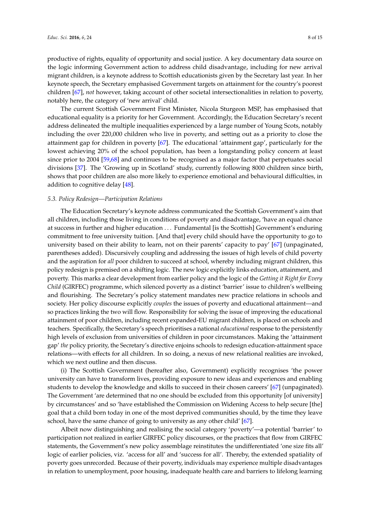productive of rights, equality of opportunity and social justice. A key documentary data source on the logic informing Government action to address child disadvantage, including for new arrival migrant children, is a keynote address to Scottish educationists given by the Secretary last year. In her keynote speech, the Secretary emphasised Government targets on attainment for the country's poorest children [\[67\]](#page-14-8), *not* however, taking account of other societal intersectionalities in relation to poverty, notably here, the category of 'new arrival' child.

The current Scottish Government First Minister, Nicola Sturgeon MSP, has emphasised that educational equality is a priority for her Government. Accordingly, the Education Secretary's recent address delineated the multiple inequalities experienced by a large number of Young Scots, notably including the over 220,000 children who live in poverty, and setting out as a priority to close the attainment gap for children in poverty [\[67\]](#page-14-8). The educational 'attainment gap', particularly for the lowest achieving 20% of the school population, has been a longstanding policy concern at least since prior to 2004 [\[59,](#page-14-0)[68\]](#page-14-9) and continues to be recognised as a major factor that perpetuates social divisions [\[37\]](#page-13-2). The 'Growing up in Scotland' study, currently following 8000 children since birth, shows that poor children are also more likely to experience emotional and behavioural difficulties, in addition to cognitive delay [\[48\]](#page-13-10).

## *5.3. Policy Redesign—Participation Relations*

The Education Secretary's keynote address communicated the Scottish Government's aim that all children, including those living in conditions of poverty and disadvantage, 'have an equal chance at success in further and higher education . . . Fundamental [is the Scottish] Government's enduring commitment to free university tuition. [And that] every child should have the opportunity to go to university based on their ability to learn, not on their parents' capacity to pay' [\[67\]](#page-14-8) (unpaginated, parentheses added). Discursively coupling and addressing the issues of high levels of child poverty and the aspiration for *all* poor children to succeed at school, whereby including migrant children, this policy redesign is premised on a shifting logic. The new logic explicitly links education, attainment, and poverty. This marks a clear development from earlier policy and the logic of the *Getting it Right for Every Child* (GIRFEC) programme, which silenced poverty as a distinct 'barrier' issue to children's wellbeing and flourishing. The Secretary's policy statement mandates new practice relations in schools and society. Her policy discourse explicitly *couples* the issues of poverty and educational attainment—and so practices linking the two will flow. Responsibility for solving the issue of improving the educational attainment of poor children, including recent expanded-EU migrant children, is placed on schools and teachers. Specifically, the Secretary's speech prioritises a national *educational* response to the persistently high levels of exclusion from universities of children in poor circumstances. Making the 'attainment gap' *the* policy priority, the Secretary's directive enjoins schools to redesign education-attainment space relations—with effects for all children. In so doing, a nexus of new relational realities are invoked, which we next outline and then discuss.

(i) The Scottish Government (hereafter also, Government) explicitly recognises 'the power university can have to transform lives, providing exposure to new ideas and experiences and enabling students to develop the knowledge and skills to succeed in their chosen careers' [\[67\]](#page-14-8) (unpaginated). The Government 'are determined that no one should be excluded from this opportunity [of university] by circumstances' and so 'have established the Commission on Widening Access to help secure [the] goal that a child born today in one of the most deprived communities should, by the time they leave school, have the same chance of going to university as any other child' [\[67\]](#page-14-8).

Albeit now distinguishing and realising the social category 'poverty'—a potential 'barrier' to participation not realized in earlier GIRFEC policy discourses, or the practices that flow from GIRFEC statements, the Government's new policy assemblage reinstitutes the undifferentiated 'one size fits all' logic of earlier policies, viz. 'access for all' and 'success for all'. Thereby, the extended spatiality of poverty goes unrecorded. Because of their poverty, individuals may experience multiple disadvantages in relation to unemployment, poor housing, inadequate health care and barriers to lifelong learning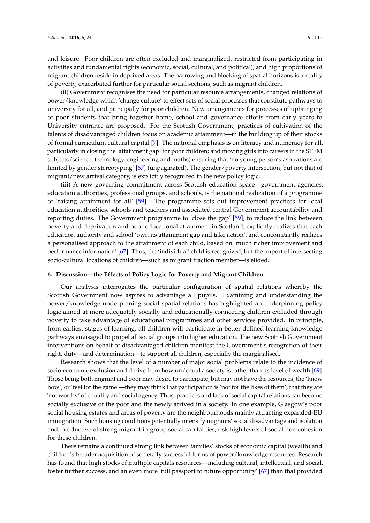and leisure. Poor children are often excluded and marginalized, restricted from participating in activities and fundamental rights (economic, social, cultural, and political), and high proportions of migrant children reside in deprived areas. The narrowing and blocking of spatial horizons is a reality of poverty, exacerbated further for particular social sections, such as migrant children.

(ii) Government recognises the need for particular resource arrangements, changed relations of power/knowledge which 'change culture' to effect sets of social processes that constitute pathways to university for all, and principally for poor children. New arrangements for processes of upbringing of poor students that bring together home, school and governance efforts from early years to University entrance are proposed. For the Scottish Government, practices of cultivation of the talents of disadvantaged children focus on academic attainment—in the building up of their stocks of formal curriculum cultural capital [\[7\]](#page-11-6). The national emphasis is on literacy and numeracy for all, particularly in closing the 'attainment gap' for poor children; and moving girls into careers in the STEM subjects (science, technology, engineering and maths) ensuring that 'no young person's aspirations are limited by gender stereotyping' [\[67\]](#page-14-8) (unpaginated). The gender/poverty intersection, but not that of migrant/new arrival category, is explicitly recognized in the new policy logic.

(iii) A new governing commitment across Scottish education space—government agencies, education authorities, professional groups, and schools, is the national realization of a programme of 'raising attainment for all' [\[59\]](#page-14-0). The programme sets out improvement practices for local education authorities, schools and teachers and associated central Government accountability and reporting duties. The Government programme to 'close the gap' [\[59\]](#page-14-0), to reduce the link between poverty and deprivation and poor educational attainment in Scotland, explicitly realizes that each education authority and school 'own its attainment gap and take action', and concomitantly realizes a personalised approach to the attainment of each child, based on 'much richer improvement and performance information' [\[67\]](#page-14-8). Thus, the 'individual' child is recognized, but the import of intersecting socio-cultural locations of children—such as migrant fraction member—is elided.

## **6. Discussion—the Effects of Policy Logic for Poverty and Migrant Children**

Our analysis interrogates the particular configuration of spatial relations whereby the Scottish Government now aspires to advantage all pupils. Examining and understanding the power/knowledge underpinning social spatial relations has highlighted an underpinning policy logic aimed at more adequately socially and educationally connecting children excluded through poverty to take advantage of educational programmes and other services provided. In principle, from earliest stages of learning, all children will participate in better defined learning-knowledge pathways envisaged to propel all social groups into higher education. The new Scottish Government interventions on behalf of disadvantaged children manifest the Government's recognition of their right, duty—and determination—to support all children, especially the marginalised.

Research shows that the level of a number of major social problems relate to the incidence of socio-economic exclusion and derive from how un/equal a society is rather than its level of wealth [\[69\]](#page-14-10). Those being both migrant and poor may desire to participate, but may not have the resources, the 'know how', or 'feel for the game'—they may think that participation is 'not for the likes of them', that they are 'not worthy' of equality and social agency. Thus, practices and lack of social capital relations can become socially exclusive of the poor and the newly arrived in a society. In one example, Glasgow's poor social housing estates and areas of poverty are the neighbourhoods mainly attracting expanded-EU immigration. Such housing conditions potentially intensify migrants' social disadvantage and isolation and, productive of strong migrant in-group social capital ties, risk high levels of social non-cohesion for these children.

There remains a continued strong link between families' stocks of economic capital (wealth) and children's broader acquisition of societally successful forms of power/knowledge resources. Research has found that high stocks of multiple capitals resources—including cultural, intellectual, and social, foster further success, and an even more 'full passport to future opportunity' [\[67\]](#page-14-8) than that provided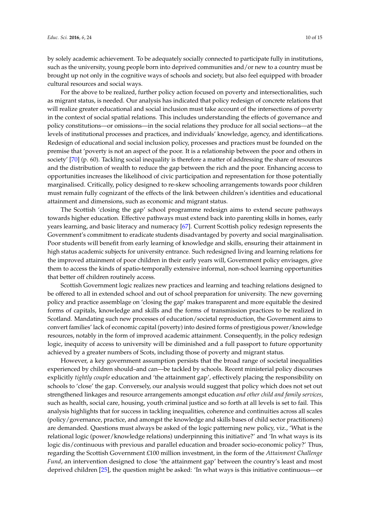by solely academic achievement. To be adequately socially connected to participate fully in institutions, such as the university, young people born into deprived communities and/or new to a country must be brought up not only in the cognitive ways of schools and society, but also feel equipped with broader cultural resources and social ways.

For the above to be realized, further policy action focused on poverty and intersectionalities, such as migrant status, is needed. Our analysis has indicated that policy redesign of concrete relations that will realize greater educational and social inclusion must take account of the intersections of poverty in the context of social spatial relations. This includes understanding the effects of governance and policy constitutions—or omissions—in the social relations they produce for all social sections—at the levels of institutional processes and practices, and individuals' knowledge, agency, and identifications. Redesign of educational and social inclusion policy, processes and practices must be founded on the premise that 'poverty is not an aspect of the poor. It is a relationship between the poor and others in society' [\[70\]](#page-14-11) (p. 60). Tackling social inequality is therefore a matter of addressing the share of resources and the distribution of wealth to reduce the gap between the rich and the poor. Enhancing access to opportunities increases the likelihood of civic participation and representation for those potentially marginalised. Critically, policy designed to re-skew schooling arrangements towards poor children must remain fully cognizant of the effects of the link between children's identities and educational attainment and dimensions, such as economic and migrant status.

The Scottish 'closing the gap' school programme redesign aims to extend secure pathways towards higher education. Effective pathways must extend back into parenting skills in homes, early years learning, and basic literacy and numeracy [\[67\]](#page-14-8). Current Scottish policy redesign represents the Government's commitment to eradicate students disadvantaged by poverty and social marginalisation. Poor students will benefit from early learning of knowledge and skills, ensuring their attainment in high status academic subjects for university entrance. Such redesigned living and learning relations for the improved attainment of poor children in their early years will, Government policy envisages, give them to access the kinds of spatio-temporally extensive informal, non-school learning opportunities that better off children routinely access.

Scottish Government logic realizes new practices and learning and teaching relations designed to be offered to all in extended school and out of school preparation for university. The new governing policy and practice assemblage on 'closing the gap' makes transparent and more equitable the desired forms of capitals, knowledge and skills and the forms of transmission practices to be realized in Scotland. Mandating such new processes of education/societal reproduction, the Government aims to convert families' lack of economic capital (poverty) into desired forms of prestigious power/knowledge resources, notably in the form of improved academic attainment. Consequently, in the policy redesign logic, inequity of access to university will be diminished and a full passport to future opportunity achieved by a greater numbers of Scots, including those of poverty and migrant status.

However, a key government assumption persists that the broad range of societal inequalities experienced by children should–and can—be tackled by schools. Recent ministerial policy discourses explicitly *tightly couple* education and 'the attainment gap', effectively placing the responsibility on schools to 'close' the gap. Conversely, our analysis would suggest that policy which does not set out strengthened linkages and resource arrangements amongst education *and other child and family services*, such as health, social care, housing, youth criminal justice and so forth at all levels is set to fail. This analysis highlights that for success in tackling inequalities, coherence and continuities across all scales (policy/governance, practice, and amongst the knowledge and skills bases of child sector practitioners) are demanded. Questions must always be asked of the logic patterning new policy, viz., 'What is the relational logic (power/knowledge relations) underpinning this initiative?' and 'In what ways is its logic dis/continuous with previous and parallel education and broader socio-economic policy?' Thus, regarding the Scottish Government £100 million investment, in the form of the *Attainment Challenge Fund*, an intervention designed to close 'the attainment gap' between the country's least and most deprived children [\[25\]](#page-12-7), the question might be asked: 'In what ways is this initiative continuous—or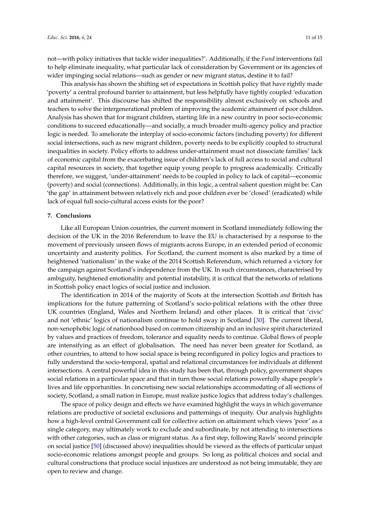not—with policy initiatives that tackle wider inequalities?'. Additionally, if the *Fund* interventions fail to help eliminate inequality, what particular lack of consideration by Government or its agencies of wider impinging social relations—such as gender or new migrant status, destine it to fail?

This analysis has shown the shifting set of expectations in Scottish policy that have rightly made 'poverty' a central profound barrier to attainment, but less helpfully have tightly coupled 'education and attainment'. This discourse has shifted the responsibility almost exclusively on schools and teachers to solve the intergenerational problem of improving the academic attainment of poor children. Analysis has shown that for migrant children, starting life in a new country in poor socio-economic conditions to succeed educationally—and socially, a much broader multi-agency policy and practice logic is needed. To ameliorate the interplay of socio-economic factors (including poverty) for different social intersections, such as new migrant children, poverty needs to be explicitly coupled to structural inequalities in society. Policy efforts to address under-attainment must not dissociate families' lack of economic capital from the exacerbating issue of children's lack of full access to social and cultural capital resources in society, that together equip young people to progress academically. Critically therefore, we suggest, 'under-attainment' needs to be coupled in policy to lack of capital—economic (poverty) and social (connections). Additionally, in this logic, a central salient question might be: Can 'the gap' in attainment between relatively rich and poor children ever be 'closed' (eradicated) while lack of equal full socio-cultural access exists for the poor?

#### **7. Conclusions**

Like all European Union countries, the current moment in Scotland immediately following the decision of the UK in the 2016 Referendum to leave the EU is characterised by a response to the movement of previously unseen flows of migrants across Europe, in an extended period of economic uncertainty and austerity politics. For Scotland, the current moment is also marked by a time of heightened 'nationalism' in the wake of the 2014 Scottish Referendum, which returned a victory for the campaign against Scotland's independence from the UK. In such circumstances, characterised by ambiguity, heightened emotionality and potential instability, it is critical that the networks of relations in Scottish policy enact logics of social justice and inclusion.

The identification in 2014 of the majority of Scots at the intersection Scottish *and* British has implications for the future patterning of Scotland's socio-political relations with the other three UK countries (England, Wales and Northern Ireland) and other places. It is critical that 'civic' and not 'ethnic' logics of nationalism continue to hold sway in Scotland [\[30\]](#page-12-12). The current liberal, non-xenophobic logic of nationhood based on common citizenship and an inclusive spirit characterized by values and practices of freedom, tolerance and equality needs to continue. Global flows of people are intensifying as an effect of globalisation. The need has never been greater for Scotland, as other countries, to attend to how social space is being reconfigured in policy logics and practices to fully understand the socio-temporal, spatial and relational circumstances for individuals at different intersections. A central powerful idea in this study has been that, through policy, government shapes social relations in a particular space and that in turn those social relations powerfully shape people's lives and life opportunities. In concretising new social relationships accommodating of all sections of society, Scotland, a small nation in Europe, must realize justice logics that address today's challenges.

The space of policy design and effects we have examined highlight the ways in which governance relations are productive of societal exclusions and patternings of inequity. Our analysis highlights how a high-level central Government call for collective action on attainment which views 'poor' as a single category, may ultimately work to exclude and subordinate, by not attending to intersections with other categories, such as class or migrant status. As a first step, following Rawls' second principle on social justice [\[50\]](#page-13-12) (discussed above) inequalities should be viewed as the effects of particular unjust socio-economic relations amongst people and groups. So long as political choices and social and cultural constructions that produce social injustices are understood as not being immutable, they are open to review and change.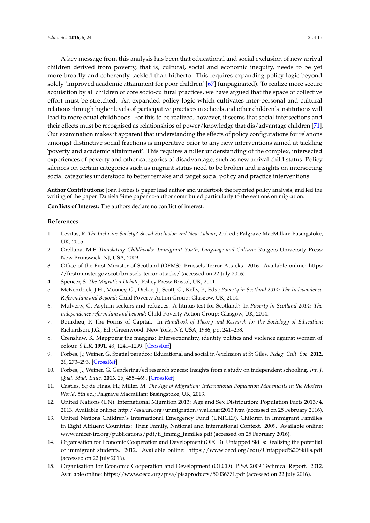A key message from this analysis has been that educational and social exclusion of new arrival children derived from poverty, that is, cultural, social and economic inequity, needs to be yet more broadly and coherently tackled than hitherto. This requires expanding policy logic beyond solely 'improved academic attainment for poor children' [\[67\]](#page-14-8) (unpaginated). To realize more secure acquisition by all children of core socio-cultural practices, we have argued that the space of collective effort must be stretched. An expanded policy logic which cultivates inter-personal and cultural relations through higher levels of participative practices in schools and other children's institutions will lead to more equal childhoods. For this to be realized, however, it seems that social intersections and their effects must be recognised as relationships of power/knowledge that dis/advantage children [\[71\]](#page-14-12). Our examination makes it apparent that understanding the effects of policy configurations for relations amongst distinctive social fractions is imperative prior to any new interventions aimed at tackling 'poverty and academic attainment'. This requires a fuller understanding of the complex, intersected experiences of poverty and other categories of disadvantage, such as new arrival child status. Policy silences on certain categories such as migrant status need to be broken and insights on intersecting social categories understood to better remake and target social policy and practice interventions.

**Author Contributions:** Joan Forbes is paper lead author and undertook the reported policy analysis, and led the writing of the paper. Daniela Sime paper co-author contributed particularly to the sections on migration.

**Conflicts of Interest:** The authors declare no conflict of interest.

## **References**

- <span id="page-11-0"></span>1. Levitas, R. *The Inclusive Society? Social Exclusion and New Labour*, 2nd ed.; Palgrave MacMillan: Basingstoke, UK, 2005.
- <span id="page-11-1"></span>2. Orellana, M.F. *Translating Childhoods: Immigrant Youth, Language and Culture*; Rutgers University Press: New Brunswick, NJ, USA, 2009.
- <span id="page-11-2"></span>3. Office of the First Minister of Scotland (OFMS). Brussels Terror Attacks. 2016. Available online: [https:](https://firstminister.gov.scot/brussels-terror-attacks/) [//firstminister.gov.scot/brussels-terror-attacks/](https://firstminister.gov.scot/brussels-terror-attacks/) (accessed on 22 July 2016).
- <span id="page-11-3"></span>4. Spencer, S. *The Migration Debate*; Policy Press: Bristol, UK, 2011.
- <span id="page-11-4"></span>5. McKendrick, J.H., Mooney, G., Dickie, J., Scott, G., Kelly, P., Eds.; *Poverty in Scotland 2014: The Independence Referendum and Beyond*; Child Poverty Action Group: Glasgow, UK, 2014.
- <span id="page-11-5"></span>6. Mulveny, G. Asylum seekers and refugees: A litmus test for Scotland? In *Poverty in Scotland 2014: The independence referendum and beyond*; Child Poverty Action Group: Glasgow, UK, 2014.
- <span id="page-11-6"></span>7. Bourdieu, P. The Forms of Capital. In *Handbook of Theory and Research for the Sociology of Education*; Richardson, J.G., Ed.; Greenwood: New York, NY, USA, 1986; pp. 241–258.
- <span id="page-11-7"></span>8. Crenshaw, K. Mappping the margins: Intersectionality, identity politics and violence against women of colour. *S.L.R.* **1991**, *43*, 1241–1299. [\[CrossRef\]](http://dx.doi.org/10.2307/1229039)
- <span id="page-11-8"></span>9. Forbes, J.; Weiner, G. Spatial paradox: Educational and social in/exclusion at St Giles. *Pedag. Cult. Soc.* **2012**, *20*, 273–293. [\[CrossRef\]](http://dx.doi.org/10.1080/14681366.2012.688766)
- <span id="page-11-9"></span>10. Forbes, J.; Weiner, G. Gendering/ed research spaces: Insights from a study on independent schooling. *Int. J. Qual. Stud. Educ.* **2013**, *26*, 455–469. [\[CrossRef\]](http://dx.doi.org/10.1080/09518398.2013.765610)
- <span id="page-11-10"></span>11. Castles, S.; de Haas, H.; Miller, M. *The Age of Migration: International Population Movements in the Modern World*, 5th ed.; Palgrave Macmillan: Basingstoke, UK, 2013.
- <span id="page-11-11"></span>12. United Nations (UN). International Migration 2013: Age and Sex Distribution: Population Facts 2013/4. 2013. Available online: <http://esa.un.org/unmigration/wallchart2013.htm> (accessed on 25 February 2016).
- <span id="page-11-12"></span>13. United Nations Children's International Emergency Fund (UNICEF). Children in Immigrant Families in Eight Affluent Countries: Their Family, National and International Context. 2009. Available online: [www.unicef-irc.org/publications/pdf/ii\\_immig\\_families.pdf](www.unicef-irc.org/publications/pdf/ii_immig_families.pdf) (accessed on 25 February 2016).
- <span id="page-11-13"></span>14. Organisation for Economic Cooperation and Development (OECD). Untapped Skills: Realising the potential of immigrant students. 2012. Available online: <https://www.oecd.org/edu/Untapped%20Skills.pdf> (accessed on 22 July 2016).
- <span id="page-11-14"></span>15. Organisation for Economic Cooperation and Development (OECD). PISA 2009 Technical Report. 2012. Available online: <https://www.oecd.org/pisa/pisaproducts/50036771.pdf> (accessed on 22 July 2016).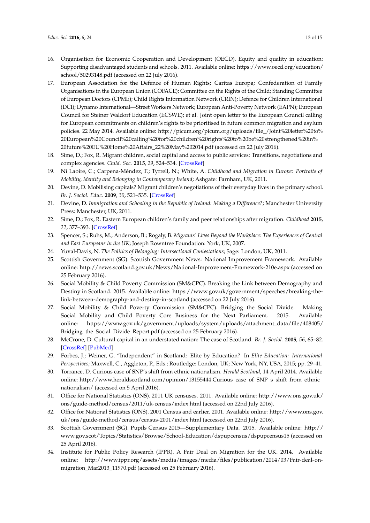- <span id="page-12-0"></span>16. Organisation for Economic Cooperation and Development (OECD). Equity and quality in education: Supporting disadvantaged students and schools. 2011. Available online: [https://www.oecd.org/education/](https://www.oecd.org/education/school/50293148.pdf) [school/50293148.pdf](https://www.oecd.org/education/school/50293148.pdf) (accessed on 22 July 2016).
- <span id="page-12-1"></span>17. European Association for the Defence of Human Rights; Caritas Europa; Confederation of Family Organisations in the European Union (COFACE); Committee on the Rights of the Child; Standing Committee of European Doctors (CPME); Child Rights Information Network (CRIN); Defence for Children International (DCI); Dynamo International—Street Workers Network; European Anti-Poverty Network (EAPN); European Council for Steiner Waldorf Education (ECSWE); et al. Joint open letter to the European Council calling for European commitments on children's rights to be prioritised in future common migration and asylum policies. 22 May 2014. Available online: [http://picum.org/picum.org/uploads/file\\_/Joint%20letter%20to%](http://picum.org/picum.org/uploads/file_/Joint%20letter%20to%20European%20Council%20calling%20for%20children%20rights%20to%20be%20strengthened%20in%20future%20EU%20Home%20Affairs_22%20May%202014.pdf) [20European%20Council%20calling%20for%20children%20rights%20to%20be%20strengthened%20in%](http://picum.org/picum.org/uploads/file_/Joint%20letter%20to%20European%20Council%20calling%20for%20children%20rights%20to%20be%20strengthened%20in%20future%20EU%20Home%20Affairs_22%20May%202014.pdf) [20future%20EU%20Home%20Affairs\\_22%20May%202014.pdf](http://picum.org/picum.org/uploads/file_/Joint%20letter%20to%20European%20Council%20calling%20for%20children%20rights%20to%20be%20strengthened%20in%20future%20EU%20Home%20Affairs_22%20May%202014.pdf) (accessed on 22 July 2016).
- <span id="page-12-2"></span>18. Sime, D.; Fox, R. Migrant children, social capital and access to public services: Transitions, negotiations and complex agencies. *Child. Soc.* **2015**, *29*, 524–534. [\[CrossRef\]](http://dx.doi.org/10.1111/chso.12092)
- 19. Ní Laoire, C.; Carpena-Méndez, F.; Tyrrell, N.; White, A. *Childhood and Migration in Europe: Portraits of Mobility, Identity and Belonging in Contemporary Ireland*; Ashgate: Farnham, UK, 2011.
- 20. Devine, D. Mobilising capitals? Migrant children's negotiations of their everyday lives in the primary school. *Br. J. Sociol. Educ.* **2009**, *30*, 521–535. [\[CrossRef\]](http://dx.doi.org/10.1080/01425690903101023)
- <span id="page-12-3"></span>21. Devine, D. *Immigration and Schooling in the Republic of Ireland: Making a Difference?*; Manchester University Press: Manchester, UK, 2011.
- <span id="page-12-4"></span>22. Sime, D.; Fox, R. Eastern European children's family and peer relationships after migration. *Childhood* **2015**, *22*, 377–393. [\[CrossRef\]](http://dx.doi.org/10.1177/0907568214543199)
- <span id="page-12-5"></span>23. Spencer, S.; Ruhs, M.; Anderson, B.; Rogaly, B. *Migrants' Lives Beyond the Workplace: The Experiences of Central and East Europeans in the UK*; Joseph Rowntree Foundation: York, UK, 2007.
- <span id="page-12-6"></span>24. Yuval-Davis, N. *The Politics of Belonging: Intersectional Contestations*; Sage: London, UK, 2011.
- <span id="page-12-7"></span>25. Scottish Government (SG). Scottish Government News: National Improvement Framework. Available online: <http://news.scotland.gov.uk/News/National-Improvement-Framework-210e.aspx> (accessed on 25 February 2016).
- <span id="page-12-8"></span>26. Social Mobility & Child Poverty Commission (SM&CPC). Breaking the Link between Demography and Destiny in Scotland. 2015. Available online: [https://www.gov.uk/government/speeches/breaking-the](https://www.gov.uk/government/speeches/breaking-the-link-between-demography-and-destiny-in-scotland)[link-between-demography-and-destiny-in-scotland](https://www.gov.uk/government/speeches/breaking-the-link-between-demography-and-destiny-in-scotland) (accessed on 22 July 2016).
- <span id="page-12-9"></span>27. Social Mobility & Child Poverty Commission (SM&CPC). Bridging the Social Divide. Making Social Mobility and Child Poverty Core Business for the Next Parliament. 2015. Available online: [https://www.gov.uk/government/uploads/system/uploads/attachment\\_data/file/408405/](https://www.gov.uk/government/uploads/system/uploads/attachment_data/file/408405/Bridging_the_Social_Divide_Report.pdf) [Bridging\\_the\\_Social\\_Divide\\_Report.pdf](https://www.gov.uk/government/uploads/system/uploads/attachment_data/file/408405/Bridging_the_Social_Divide_Report.pdf) (accessed on 25 February 2016).
- <span id="page-12-10"></span>28. McCrone, D. Cultural capital in an understated nation: The case of Scotland. *Br. J. Sociol.* **2005**, *56*, 65–82. [\[CrossRef\]](http://dx.doi.org/10.1111/j.1468-4446.2005.00047.x) [\[PubMed\]](http://www.ncbi.nlm.nih.gov/pubmed/15777463)
- <span id="page-12-11"></span>29. Forbes, J.; Weiner, G. "Independent" in Scotland: Elite by Education? In *Elite Education: International Perspectives*; Maxwell, C., Aggleton, P., Eds.; Routledge: London, UK; New York, NY, USA, 2015; pp. 29–41.
- <span id="page-12-12"></span>30. Torrance, D. Curious case of SNP's shift from ethnic nationalism. *Herald Scotland*, 14 April 2014. Available online: http://www.heraldscotland.com/opinion/13155444.Curious\_case\_of\_SNP\_s\_shift\_from\_ethnic [nationalism/](http://www.heraldscotland.com/opinion/13155444.Curious_case_of_SNP_s_shift_from_ethnic_nationalism/) (accessed on 5 April 2016).
- <span id="page-12-13"></span>31. Office for National Statistics (ONS). 2011 UK censuses. 2011. Available online: [http://www.ons.gov.uk/](http://www.ons.gov.uk/ons/guide-method/census/2011/uk-census/index.html) [ons/guide-method/census/2011/uk-census/index.html](http://www.ons.gov.uk/ons/guide-method/census/2011/uk-census/index.html) (accessed on 22nd July 2016).
- <span id="page-12-14"></span>32. Office for National Statistics (ONS). 2001 Census and earlier. 2001. Available online: [http://www.ons.gov.](http://www.ons.gov.uk/ons/guide-method/census/census-2001/index.html) [uk/ons/guide-method/census/census-2001/index.html](http://www.ons.gov.uk/ons/guide-method/census/census-2001/index.html) (accessed on 22nd July 2016).
- <span id="page-12-15"></span>33. Scottish Government (SG). Pupils Census 2015—Supplementary Data. 2015. Available online: [http://](http://www.gov.scot/Topics/Statistics/Browse/School-Education/dspupcensus/dspupcensus15) [www.gov.scot/Topics/Statistics/Browse/School-Education/dspupcensus/dspupcensus15](http://www.gov.scot/Topics/Statistics/Browse/School-Education/dspupcensus/dspupcensus15) (accessed on 25 April 2016).
- <span id="page-12-16"></span>34. Institute for Public Policy Research (IPPR). A Fair Deal on Migration for the UK. 2014. Available online: [http://www.ippr.org/assets/media/images/media/files/publication/2014/03/Fair-deal-on](http://www.ippr.org/assets/media/images/media/files/publication/2014/03/Fair-deal-on-migration_Mar2013_11970.pdf)[migration\\_Mar2013\\_11970.pdf](http://www.ippr.org/assets/media/images/media/files/publication/2014/03/Fair-deal-on-migration_Mar2013_11970.pdf) (accessed on 25 February 2016).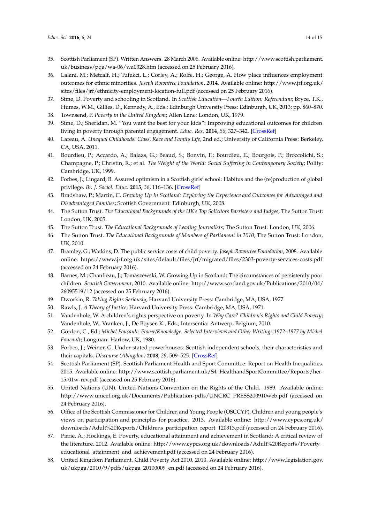- <span id="page-13-0"></span>35. Scottish Parliament (SP). Written Answers. 28 March 2006. Available online: [http://www.scottish.parliament.](http://www.scottish.parliament.uk/business/pqa/wa-06/wa0328.htm) [uk/business/pqa/wa-06/wa0328.htm](http://www.scottish.parliament.uk/business/pqa/wa-06/wa0328.htm) (accessed on 25 February 2016).
- <span id="page-13-1"></span>36. Lalani, M.; Metcalf, H.; Tufekci, L.; Corley, A.; Rolfe, H.; George, A. How place influences employment outcomes for ethnic minorities. *Joseph Rowntree Foundation*, 2014. Available online: [http://www.jrf.org.uk/](http://www.jrf.org.uk/sites/files/jrf/ethnicity-employment-location-full.pdf) [sites/files/jrf/ethnicity-employment-location-full.pdf](http://www.jrf.org.uk/sites/files/jrf/ethnicity-employment-location-full.pdf) (accessed on 25 February 2016).
- <span id="page-13-2"></span>37. Sime, D. Poverty and schooling in Scotland. In *Scottish Education—Fourth Edition: Referendum*; Bryce, T.K., Humes, W.M., Gillies, D., Kennedy, A., Eds.; Edinburgh University Press: Edinburgh, UK, 2013; pp. 860–870.
- <span id="page-13-3"></span>38. Townsend, P. *Poverty in the United Kingdom*; Allen Lane: London, UK, 1979.
- <span id="page-13-4"></span>39. Sime, D.; Sheridan, M. "You want the best for your kids": Improving educational outcomes for children living in poverty through parental engagement. *Educ. Res.* **2014**, *56*, 327–342. [\[CrossRef\]](http://dx.doi.org/10.1080/00131881.2014.934556)
- 40. Lareau, A. *Unequal Childhoods: Class, Race and Family Life*, 2nd ed.; University of California Press: Berkeley, CA, USA, 2011.
- <span id="page-13-5"></span>41. Bourdieu, P.; Accardo, A.; Balazs, G.; Beaud, S.; Bonvin, F.; Bourdieu, E.; Bourgois, P.; Broccolichi, S.; Champagne, P.; Christin, R.; et al. *The Weight of the World: Social Suffering in Contemporary Society*; Polity: Cambridge, UK, 1999.
- <span id="page-13-6"></span>42. Forbes, J.; Lingard, B. Assured optimism in a Scottish girls' school: Habitus and the (re)production of global privilege. *Br. J. Sociol. Educ.* **2015**, *36*, 116–136. [\[CrossRef\]](http://dx.doi.org/10.1080/01425692.2014.967839)
- <span id="page-13-7"></span>43. Bradshaw, P.; Martin, C. *Growing Up In Scotland: Exploring the Experience and Outcomes for Advantaged and Disadvantaged Families*; Scottish Government: Edinburgh, UK, 2008.
- 44. The Sutton Trust. *The Educational Backgrounds of the UK's Top Solicitors Barristers and Judges*; The Sutton Trust: London, UK, 2005.
- 45. The Sutton Trust. *The Educational Backgrounds of Leading Journalists*; The Sutton Trust: London, UK, 2006.
- <span id="page-13-8"></span>46. The Sutton Trust. *The Educational Backgrounds of Members of Parliament in 2010*; The Sutton Trust: London, UK, 2010.
- <span id="page-13-9"></span>47. Bramley, G.; Watkins, D. The public service costs of child poverty. *Joseph Rowntree Foundation*, 2008. Available online: <https://www.jrf.org.uk/sites/default/files/jrf/migrated/files/2303-poverty-services-costs.pdf> (accessed on 24 February 2016).
- <span id="page-13-10"></span>48. Barnes, M.; Chanfreau, J.; Tomaszewski, W. Growing Up in Scotland: The circumstances of persistently poor children. *Scottish Government*, 2010. Available online: [http://www.scotland.gov.uk/Publications/2010/04/](http://www.scotland.gov.uk/Publications/2010/04/26095519/12) [26095519/12](http://www.scotland.gov.uk/Publications/2010/04/26095519/12) (accessed on 25 February 2016).
- <span id="page-13-11"></span>49. Dworkin, R. *Taking Rights Seriously*; Harvard University Press: Cambridge, MA, USA, 1977.
- <span id="page-13-12"></span>50. Rawls, J. *A Theory of Justice*; Harvard University Press: Cambridge, MA, USA, 1971.
- <span id="page-13-13"></span>51. Vandenhole, W. A children's rights perspective on poverty. In *Why Care? Children's Rights and Child Poverty*; Vandenhole, W., Vranken, J., De Boyser, K., Eds.; Intersentia: Antwerp, Belgium, 2010.
- <span id="page-13-14"></span>52. Gordon, C., Ed.; *Michel Foucault: Power/Knowledge. Selected Interviews and Other Writings 1972–1977 by Michel Foucault*; Longman: Harlow, UK, 1980.
- <span id="page-13-15"></span>53. Forbes, J.; Weiner, G. Under-stated powerhouses: Scottish independent schools, their characteristics and their capitals. *Discourse (Abingdon)* **2008**, *29*, 509–525. [\[CrossRef\]](http://dx.doi.org/10.1080/01596300802410235)
- <span id="page-13-16"></span>54. Scottish Parliament (SP). Scottish Parliament Health and Sport Committee: Report on Health Inequalities. 2015. Available online: [http://www.scottish.parliament.uk/S4\\_HealthandSportCommittee/Reports/her-](http://www.scottish.parliament.uk/S4_HealthandSportCommittee/Reports/her-15-01w-rev.pdf)[15-01w-rev.pdf](http://www.scottish.parliament.uk/S4_HealthandSportCommittee/Reports/her-15-01w-rev.pdf) (accessed on 25 February 2016).
- <span id="page-13-17"></span>55. United Nations (UN). United Nations Convention on the Rights of the Child. 1989. Available online: [http://www.unicef.org.uk/Documents/Publication-pdfs/UNCRC\\_PRESS200910web.pdf](http://www.unicef.org.uk/Documents/Publication-pdfs/UNCRC_PRESS200910web.pdf) (accessed on 24 February 2016).
- <span id="page-13-18"></span>56. Office of the Scottish Commissioner for Children and Young People (OSCCYP). Children and young people's views on participation and principles for practice. 2013. Available online: [http://www.cypcs.org.uk/](http://www.cypcs.org.uk/downloads/Adult%20Reports/Childrens_participation_report_120313.pdf) [downloads/Adult%20Reports/Childrens\\_participation\\_report\\_120313.pdf](http://www.cypcs.org.uk/downloads/Adult%20Reports/Childrens_participation_report_120313.pdf) (accessed on 24 February 2016).
- <span id="page-13-19"></span>57. Pirrie, A.; Hockings, E. Poverty, educational attainment and achievement in Scotland: A critical review of the literature. 2012. Available online: [http://www.cypcs.org.uk/downloads/Adult%20Reports/Poverty\\_](http://www.cypcs.org.uk/downloads/Adult%20Reports/Poverty_educational_attainment_and_achievement.pdf) [educational\\_attainment\\_and\\_achievement.pdf](http://www.cypcs.org.uk/downloads/Adult%20Reports/Poverty_educational_attainment_and_achievement.pdf) (accessed on 24 February 2016).
- <span id="page-13-20"></span>58. United Kingdom Parliament. Child Poverty Act 2010. 2010. Available online: [http://www.legislation.gov.](http://www.legislation.gov.uk/ukpga/2010/9/pdfs/ukpga_20100009_en.pdf) [uk/ukpga/2010/9/pdfs/ukpga\\_20100009\\_en.pdf](http://www.legislation.gov.uk/ukpga/2010/9/pdfs/ukpga_20100009_en.pdf) (accessed on 24 February 2016).